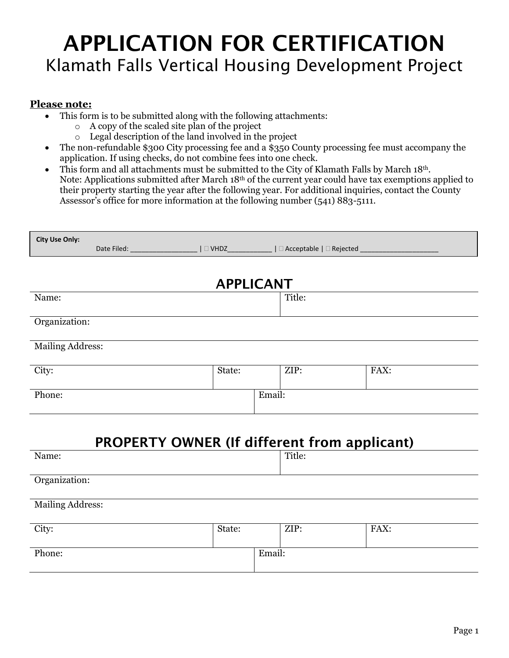# APPLICATION FOR CERTIFICATION Klamath Falls Vertical Housing Development Project

#### **Please note:**

- This form is to be submitted along with the following attachments:
	- o A copy of the scaled site plan of the project
	- o Legal description of the land involved in the project
- The non-refundable \$300 City processing fee and a \$350 County processing fee must accompany the application. If using checks, do not combine fees into one check.
- This form and all attachments must be submitted to the City of Klamath Falls by March 18th. Note: Applications submitted after March 18th of the current year could have tax exemptions applied to their property starting the year after the following year. For additional inquiries, contact the County Assessor's office for more information at the following number (541) 883-5111.

| <b>City Use Only:</b><br>Date Filed: ____________________   □ VHDZ______________   □ Acceptable   □ Rejected _____________ |                  |        |        |      |
|----------------------------------------------------------------------------------------------------------------------------|------------------|--------|--------|------|
|                                                                                                                            |                  |        |        |      |
|                                                                                                                            | <b>APPLICANT</b> |        |        |      |
| Name:                                                                                                                      |                  |        | Title: |      |
| Organization:                                                                                                              |                  |        |        |      |
| <b>Mailing Address:</b>                                                                                                    |                  |        |        |      |
| City:                                                                                                                      | State:           |        | ZIP:   | FAX: |
| Phone:                                                                                                                     |                  | Email: |        |      |
|                                                                                                                            |                  |        |        |      |
| <b>PROPERTY OWNER (If different from applicant)</b>                                                                        |                  |        |        |      |
| Name:                                                                                                                      |                  |        | Title: |      |
| Organization:                                                                                                              |                  |        |        |      |
| <b>Mailing Address:</b>                                                                                                    |                  |        |        |      |
| City:                                                                                                                      | State:           |        | ZIP:   | FAX: |
| Phone:                                                                                                                     |                  | Email: |        |      |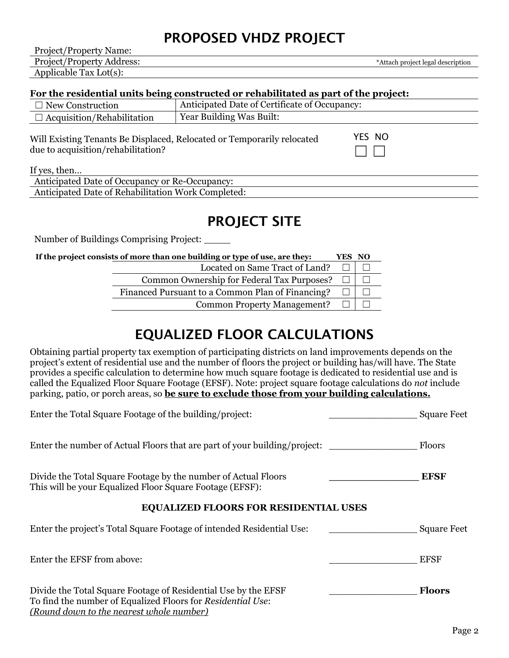### PROPOSED VHDZ PROJECT

Project/Property Name: Project/Property Address:  $\overline{\phantom{a}^*}$ Attach project legal description Applicable Tax Lot(s):

#### **For the residential units being constructed or rehabilitated as part of the project:**

| Anticipated Date of Certificate of Occupancy:<br>$\Box$ New Construction                                     |                          |        |
|--------------------------------------------------------------------------------------------------------------|--------------------------|--------|
| $\Box$ Acquisition/Rehabilitation                                                                            | Year Building Was Built: |        |
| Will Existing Tenants Be Displaced, Relocated or Temporarily relocated<br>due to acquisition/rehabilitation? |                          | YES NO |

If yes, then…

| ∙ Ke-C<br>Decupancy:<br>Decupancy or<br>`cıpated_<br>Date of t          |  |
|-------------------------------------------------------------------------|--|
| $\cdots$<br>Work Completed.<br>. Date of Rehabilitation '<br>ucipated . |  |

### PROJECT SITE

Number of Buildings Comprising Project:

| If the project consists of more than one building or type of use, are they: |                                                  |  | YES NO |
|-----------------------------------------------------------------------------|--------------------------------------------------|--|--------|
|                                                                             | Located on Same Tract of Land?                   |  |        |
|                                                                             | Common Ownership for Federal Tax Purposes?       |  |        |
|                                                                             | Financed Pursuant to a Common Plan of Financing? |  |        |
|                                                                             | <b>Common Property Management?</b>               |  |        |

### EQUALIZED FLOOR CALCULATIONS

Obtaining partial property tax exemption of participating districts on land improvements depends on the project's extent of residential use and the number of floors the project or building has/will have. The State provides a specific calculation to determine how much square footage is dedicated to residential use and is called the Equalized Floor Square Footage (EFSF). Note: project square footage calculations do *not* include parking, patio, or porch areas, so **be sure to exclude those from your building calculations.**

| Enter the Total Square Footage of the building/project:                                                                                                                   | <b>Square Feet</b> |
|---------------------------------------------------------------------------------------------------------------------------------------------------------------------------|--------------------|
| Enter the number of Actual Floors that are part of your building/project:                                                                                                 | Floors             |
| Divide the Total Square Footage by the number of Actual Floors<br>This will be your Equalized Floor Square Footage (EFSF):                                                | <b>EFSF</b>        |
| <b>EQUALIZED FLOORS FOR RESIDENTIAL USES</b>                                                                                                                              |                    |
| Enter the project's Total Square Footage of intended Residential Use:                                                                                                     | <b>Square Feet</b> |
| Enter the EFSF from above:                                                                                                                                                | <b>EFSF</b>        |
| Divide the Total Square Footage of Residential Use by the EFSF<br>To find the number of Equalized Floors for Residential Use:<br>(Round down to the nearest whole number) | <b>Floors</b>      |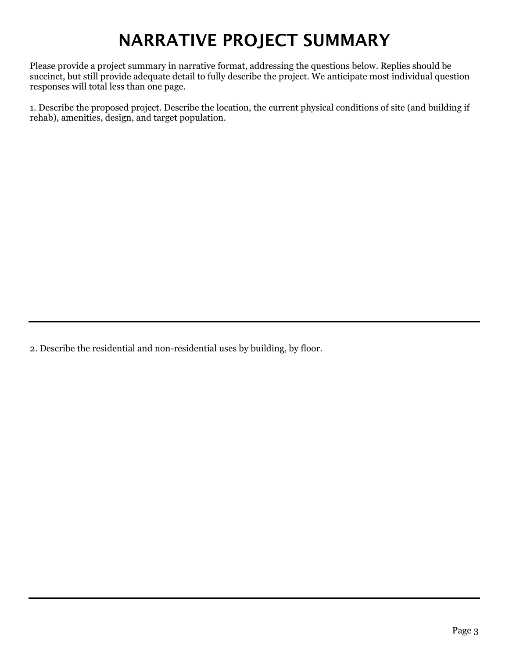## NARRATIVE PROJECT SUMMARY

Please provide a project summary in narrative format, addressing the questions below. Replies should be succinct, but still provide adequate detail to fully describe the project. We anticipate most individual question responses will total less than one page.

1. Describe the proposed project. Describe the location, the current physical conditions of site (and building if rehab), amenities, design, and target population.

2. Describe the residential and non-residential uses by building, by floor.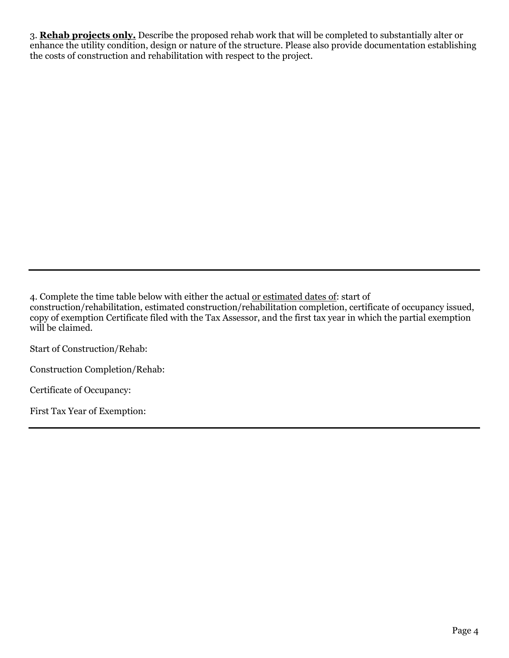3. **Rehab projects only.** Describe the proposed rehab work that will be completed to substantially alter or enhance the utility condition, design or nature of the structure. Please also provide documentation establishing the costs of construction and rehabilitation with respect to the project.

4. Complete the time table below with either the actual or estimated dates of: start of construction/rehabilitation, estimated construction/rehabilitation completion, certificate of occupancy issued, copy of exemption Certificate filed with the Tax Assessor, and the first tax year in which the partial exemption will be claimed.

Start of Construction/Rehab:

Construction Completion/Rehab:

Certificate of Occupancy:

First Tax Year of Exemption: